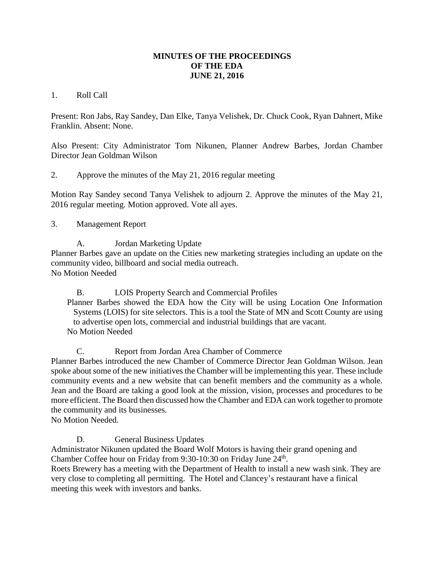## **MINUTES OF THE PROCEEDINGS OF THE EDA JUNE 21, 2016**

## 1. Roll Call

Present: Ron Jabs, Ray Sandey, Dan Elke, Tanya Velishek, Dr. Chuck Cook, Ryan Dahnert, Mike Franklin. Absent: None.

Also Present: City Administrator Tom Nikunen, Planner Andrew Barbes, Jordan Chamber Director Jean Goldman Wilson

2. Approve the minutes of the May 21, 2016 regular meeting

Motion Ray Sandey second Tanya Velishek to adjourn 2. Approve the minutes of the May 21, 2016 regular meeting. Motion approved. Vote all ayes.

## 3. Management Report

A. Jordan Marketing Update

Planner Barbes gave an update on the Cities new marketing strategies including an update on the community video, billboard and social media outreach. No Motion Needed

B. LOIS Property Search and Commercial Profiles

Planner Barbes showed the EDA how the City will be using Location One Information Systems (LOIS) for site selectors. This is a tool the State of MN and Scott County are using to advertise open lots, commercial and industrial buildings that are vacant. No Motion Needed

C. Report from Jordan Area Chamber of Commerce

Planner Barbes introduced the new Chamber of Commerce Director Jean Goldman Wilson. Jean spoke about some of the new initiatives the Chamber will be implementing this year. These include community events and a new website that can benefit members and the community as a whole. Jean and the Board are taking a good look at the mission, vision, processes and procedures to be more efficient. The Board then discussed how the Chamber and EDA can work together to promote the community and its businesses.

No Motion Needed.

D. General Business Updates

Administrator Nikunen updated the Board Wolf Motors is having their grand opening and Chamber Coffee hour on Friday from  $9:30-10:30$  on Friday June  $24<sup>th</sup>$ .

Roets Brewery has a meeting with the Department of Health to install a new wash sink. They are very close to completing all permitting. The Hotel and Clancey's restaurant have a finical meeting this week with investors and banks.